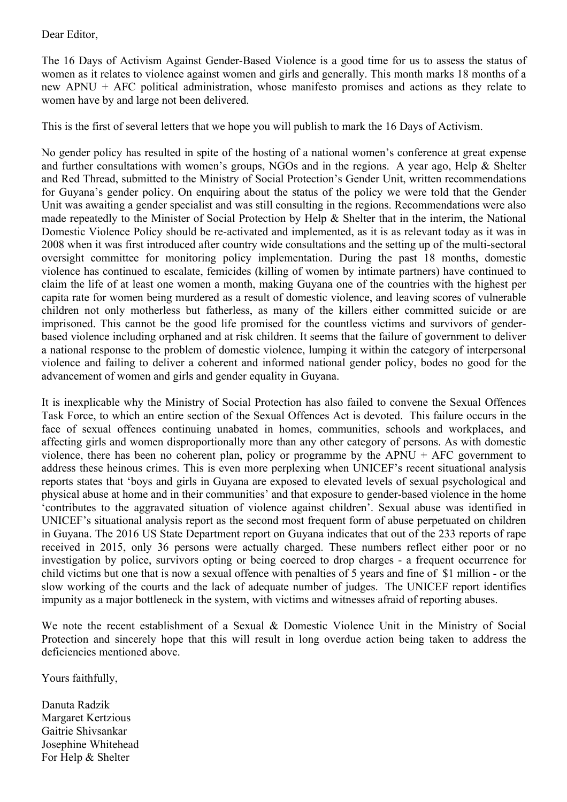Dear Editor,

The 16 Days of Activism Against Gender-Based Violence is a good time for us to assess the status of women as it relates to violence against women and girls and generally. This month marks 18 months of a new APNU + AFC political administration, whose manifesto promises and actions as they relate to women have by and large not been delivered.

This is the first of several letters that we hope you will publish to mark the 16 Days of Activism.

No gender policy has resulted in spite of the hosting of a national women's conference at great expense and further consultations with women's groups, NGOs and in the regions. A year ago, Help & Shelter and Red Thread, submitted to the Ministry of Social Protection's Gender Unit, written recommendations for Guyana's gender policy. On enquiring about the status of the policy we were told that the Gender Unit was awaiting a gender specialist and was still consulting in the regions. Recommendations were also made repeatedly to the Minister of Social Protection by Help & Shelter that in the interim, the National Domestic Violence Policy should be re-activated and implemented, as it is as relevant today as it was in 2008 when it was first introduced after country wide consultations and the setting up of the multi-sectoral oversight committee for monitoring policy implementation. During the past 18 months, domestic violence has continued to escalate, femicides (killing of women by intimate partners) have continued to claim the life of at least one women a month, making Guyana one of the countries with the highest per capita rate for women being murdered as a result of domestic violence, and leaving scores of vulnerable children not only motherless but fatherless, as many of the killers either committed suicide or are imprisoned. This cannot be the good life promised for the countless victims and survivors of genderbased violence including orphaned and at risk children. It seems that the failure of government to deliver a national response to the problem of domestic violence, lumping it within the category of interpersonal violence and failing to deliver a coherent and informed national gender policy, bodes no good for the advancement of women and girls and gender equality in Guyana.

It is inexplicable why the Ministry of Social Protection has also failed to convene the Sexual Offences Task Force, to which an entire section of the Sexual Offences Act is devoted. This failure occurs in the face of sexual offences continuing unabated in homes, communities, schools and workplaces, and affecting girls and women disproportionally more than any other category of persons. As with domestic violence, there has been no coherent plan, policy or programme by the APNU + AFC government to address these heinous crimes. This is even more perplexing when UNICEF's recent situational analysis reports states that 'boys and girls in Guyana are exposed to elevated levels of sexual psychological and physical abuse at home and in their communities' and that exposure to gender-based violence in the home 'contributes to the aggravated situation of violence against children'. Sexual abuse was identified in UNICEF's situational analysis report as the second most frequent form of abuse perpetuated on children in Guyana. The 2016 US State Department report on Guyana indicates that out of the 233 reports of rape received in 2015, only 36 persons were actually charged. These numbers reflect either poor or no investigation by police, survivors opting or being coerced to drop charges - a frequent occurrence for child victims but one that is now a sexual offence with penalties of 5 years and fine of \$1 million - or the slow working of the courts and the lack of adequate number of judges. The UNICEF report identifies impunity as a major bottleneck in the system, with victims and witnesses afraid of reporting abuses.

We note the recent establishment of a Sexual & Domestic Violence Unit in the Ministry of Social Protection and sincerely hope that this will result in long overdue action being taken to address the deficiencies mentioned above.

Yours faithfully,

Danuta Radzik Margaret Kertzious Gaitrie Shivsankar Josephine Whitehead For Help & Shelter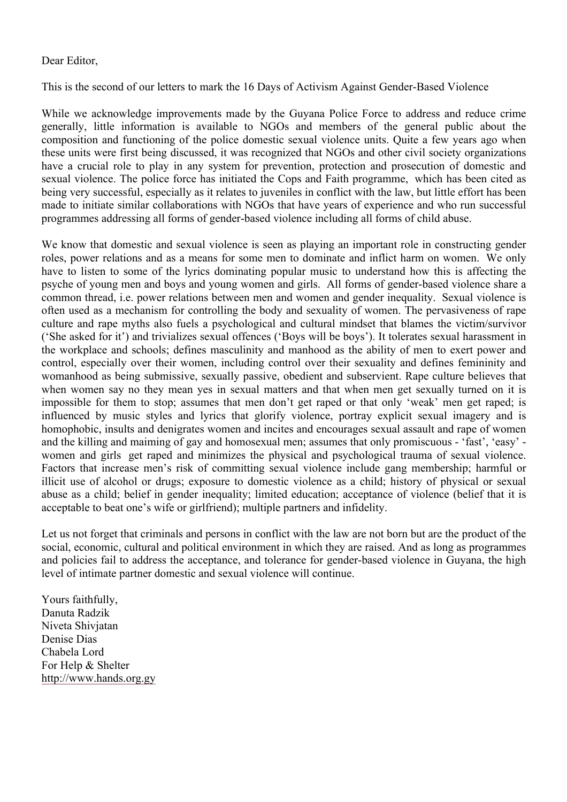## Dear Editor,

This is the second of our letters to mark the 16 Days of Activism Against Gender-Based Violence

While we acknowledge improvements made by the Guyana Police Force to address and reduce crime generally, little information is available to NGOs and members of the general public about the composition and functioning of the police domestic sexual violence units. Quite a few years ago when these units were first being discussed, it was recognized that NGOs and other civil society organizations have a crucial role to play in any system for prevention, protection and prosecution of domestic and sexual violence. The police force has initiated the Cops and Faith programme, which has been cited as being very successful, especially as it relates to juveniles in conflict with the law, but little effort has been made to initiate similar collaborations with NGOs that have years of experience and who run successful programmes addressing all forms of gender-based violence including all forms of child abuse.

We know that domestic and sexual violence is seen as playing an important role in constructing gender roles, power relations and as a means for some men to dominate and inflict harm on women. We only have to listen to some of the lyrics dominating popular music to understand how this is affecting the psyche of young men and boys and young women and girls. All forms of gender-based violence share a common thread, i.e. power relations between men and women and gender inequality. Sexual violence is often used as a mechanism for controlling the body and sexuality of women. The pervasiveness of rape culture and rape myths also fuels a psychological and cultural mindset that blames the victim/survivor ('She asked for it') and trivializes sexual offences ('Boys will be boys'). It tolerates sexual harassment in the workplace and schools; defines masculinity and manhood as the ability of men to exert power and control, especially over their women, including control over their sexuality and defines femininity and womanhood as being submissive, sexually passive, obedient and subservient. Rape culture believes that when women say no they mean yes in sexual matters and that when men get sexually turned on it is impossible for them to stop; assumes that men don't get raped or that only 'weak' men get raped; is influenced by music styles and lyrics that glorify violence, portray explicit sexual imagery and is homophobic, insults and denigrates women and incites and encourages sexual assault and rape of women and the killing and maiming of gay and homosexual men; assumes that only promiscuous - 'fast', 'easy' women and girls get raped and minimizes the physical and psychological trauma of sexual violence. Factors that increase men's risk of committing sexual violence include gang membership; harmful or illicit use of alcohol or drugs; exposure to domestic violence as a child; history of physical or sexual abuse as a child; belief in gender inequality; limited education; acceptance of violence (belief that it is acceptable to beat one's wife or girlfriend); multiple partners and infidelity.

Let us not forget that criminals and persons in conflict with the law are not born but are the product of the social, economic, cultural and political environment in which they are raised. And as long as programmes and policies fail to address the acceptance, and tolerance for gender-based violence in Guyana, the high level of intimate partner domestic and sexual violence will continue.

Yours faithfully, Danuta Radzik Niveta Shivjatan Denise Dias Chabela Lord For Help & Shelter http://www.hands.org.gy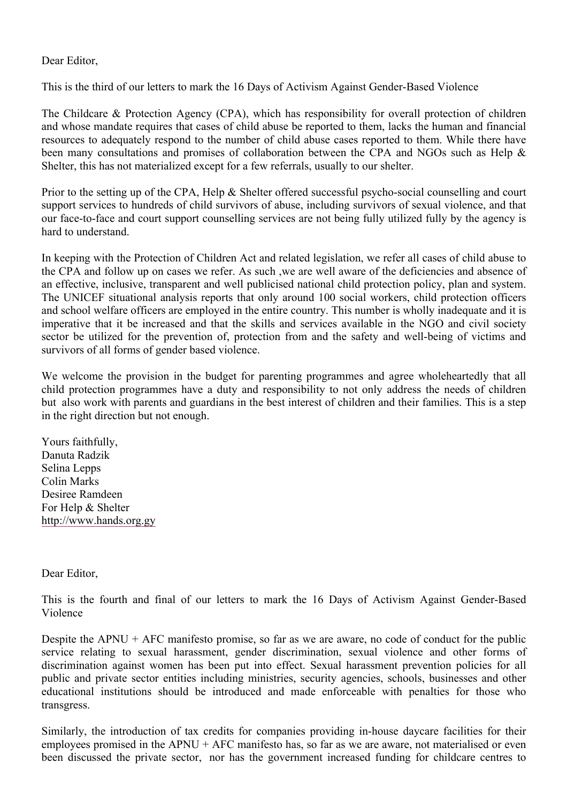## Dear Editor,

This is the third of our letters to mark the 16 Days of Activism Against Gender-Based Violence

The Childcare & Protection Agency (CPA), which has responsibility for overall protection of children and whose mandate requires that cases of child abuse be reported to them, lacks the human and financial resources to adequately respond to the number of child abuse cases reported to them. While there have been many consultations and promises of collaboration between the CPA and NGOs such as Help & Shelter, this has not materialized except for a few referrals, usually to our shelter.

Prior to the setting up of the CPA, Help & Shelter offered successful psycho-social counselling and court support services to hundreds of child survivors of abuse, including survivors of sexual violence, and that our face-to-face and court support counselling services are not being fully utilized fully by the agency is hard to understand.

In keeping with the Protection of Children Act and related legislation, we refer all cases of child abuse to the CPA and follow up on cases we refer. As such ,we are well aware of the deficiencies and absence of an effective, inclusive, transparent and well publicised national child protection policy, plan and system. The UNICEF situational analysis reports that only around 100 social workers, child protection officers and school welfare officers are employed in the entire country. This number is wholly inadequate and it is imperative that it be increased and that the skills and services available in the NGO and civil society sector be utilized for the prevention of, protection from and the safety and well-being of victims and survivors of all forms of gender based violence.

We welcome the provision in the budget for parenting programmes and agree wholeheartedly that all child protection programmes have a duty and responsibility to not only address the needs of children but also work with parents and guardians in the best interest of children and their families. This is a step in the right direction but not enough.

Yours faithfully, Danuta Radzik Selina Lepps Colin Marks Desiree Ramdeen For Help & Shelter http://www.hands.org.gy

Dear Editor,

This is the fourth and final of our letters to mark the 16 Days of Activism Against Gender-Based Violence

Despite the APNU + AFC manifesto promise, so far as we are aware, no code of conduct for the public service relating to sexual harassment, gender discrimination, sexual violence and other forms of discrimination against women has been put into effect. Sexual harassment prevention policies for all public and private sector entities including ministries, security agencies, schools, businesses and other educational institutions should be introduced and made enforceable with penalties for those who transgress.

Similarly, the introduction of tax credits for companies providing in-house daycare facilities for their employees promised in the APNU + AFC manifesto has, so far as we are aware, not materialised or even been discussed the private sector, nor has the government increased funding for childcare centres to